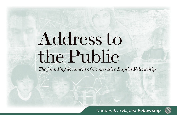# Address to the Public

*The founding document of Cooperative Baptist Fellowship*

*Cooperative Baptist Fellowship*

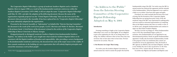*The Cooperative Baptist Fellowship is a group of moderate Southern Baptists and ex-Southern Baptists. Born in August 1990, as a result of the fundamentalist-moderate controversy within the Southern Baptist Convention (1979-1990), it did not adopt the name "Cooperative Baptist Fellowship" until May 10, 1991, and after the adoption of the following document. Because the name of the organization originally proposed was the "United Baptist Fellowship," that was the term used in this document when presented to the Assembly. It has been replaced here by "Cooperative Baptist Fellowship," the name ultimately adopted for the organization.*

*Presented to the General Assembly as "information" on behalf of the "Interim Steering Committee," the document is the result of the work of two people, Cecil E. Sherman and Walter B. Shurden. Sherman's is the primary hand. A brief history of the document is found in the archives of the Cooperative Baptist Fellowship at Mercer University in Macon, Georgia.*

*Designed primarily to distinguish moderate Southern Baptists from fundamentalist Southern Baptists, "An Address to the Public" gives insight into what moderate Southern Baptists believe to be consistent with the Baptist tradition of freedom and responsibility. After providing a cursory background to the fundamentalist-moderate controversy, the document lists some of the major issues in the conflict. It then commits moderates to the building of a new organization that will embody Baptists principles and extend the missionary work of their people1 .*

*\_\_\_\_\_\_\_\_\_\_\_\_\_\_\_\_\_\_\_\_\_\_\_\_\_\_\_\_\_\_\_\_\_\_\_\_\_\_\_\_\_\_\_\_\_\_\_\_\_\_\_\_\_\_\_\_\_\_\_\_\_\_\_\_\_\_\_\_\_\_\_\_\_\_\_\_\_\_\_\_\_\_\_\_\_\_\_\_\_\_\_\_\_\_\_\_\_\_\_\_\_\_\_\_\_\_\_\_\_\_\_\_\_\_\_\_\_\_\_\_*

**1 Shurden, Walter B. The struggle for the Soul of the SBC. Mercer University Press, Macon, GA 1993. P. 309 (Used by permission from Dr. Shurden)**

"An Address to the Public" from the Interim Steering Committee of the Cooperative Baptist Fellowship Adopted on May 9, 1991

#### **Introduction**

Forming something as fragile as the Cooperative Baptist Fellowship is not a move we make lightly. We are obligated to give some explanation for why we are doing what we are doing. Our children will know what we have done; they may not know why we have done what we have done. We have reasons for our actions. They are:

#### **I. Our Reasons Are Larger Than Losing.**

For twelve years the Southern Baptist Convention in annual session has voted to sustain the people who lead the

fundamentalist wing of the SBC. For twelve years the SBC in annual session has endorsed the arguments and the rationale of the fundamentalists. What has happened is not a quirk or a flash or an accident. It has been done again and again.

If inclined, one could conclude that the losers have tired of losing. But the formation of the Cooperative Baptist Fellowship does not spring from petty rivalry. If the old moderate wing of the SBC were represented in making policy and were treated as welcomed representatives of competing ideas in the Baptist mission task, then we would co-exist, as we did for years, alongside fundamentalism and continue to argue our ideas before Southern Baptists.

But this is not the way things are. When fundamentalists won in 1979, they immediately began a policy of exclusion. Non-fundamentalists are not appointed to any denominational positions. Rarely are gentle fundamentalists appointed. Usually only doctrinaire fundamentalists, hostile to the purposes of the very institutions they control, are rewarded for service by appointment. Thus, the boards of SBC agencies are filled by only one kind of Baptists. And this is true whether the vote to elect was 60-40 or 52-48. It has been since 1979 a "winner take all." We have no voice.

In another day Pilgrims and Quakers and Baptists came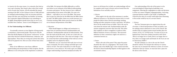to America for the same reason. As a minority, they had no way to get a hearing. They found a place where they would not be second-class citizens. All who attended the annual meeting of the SBC in New Orleans in June of 1990 will have an enlarged understanding of why our ancestors left their homes and dear ones and all that was familiar. So forming the Cooperative Baptist Fellowship is not something we do lightly. Being Baptist should ensure that no one is ever excluded who confesses, "Jesus is Lord (Philippians 2:11)."

#### **II. Our Understandings Are Different.**

Occasionally, someone accuses Baptists of being merely a contentious, controversial people. That may be. But the ideas that divide Baptists in the present "controversy" are the same ideas that have divided Presbyterians, Lutherans, and Episcopalians. These ideas are strong and central; these ideas will not be papered over. Here are some of these basic ideas:

#### *1. Bible.*

Many of our differences come from a different understanding and interpretation of Holy Scripture. But the difference is not at the point of the inspiration or authority

of the Bible. We interpret the Bible differently, as will be seen below in our treatment of the biblical understanding of women and pastors. We also, however, have a different understanding of the nature of the Bible. We want to be biblical — especially in our view of the Bible. That means that we dare not claim less for the Bible than the Bible claims for itself. The Bible neither claims nor reveals inerrancy as a Christian teaching. Bible claims must be based on the Bible, not on human interpretations of the Bible.

#### *2. Education.*

What should happen in colleges and seminaries is a major bone of contention between fundamentalists and moderates. Fundamentalists educate by indoctrination. They have the truth and all the truth. As they see it, their job is to pass along the truth they have. They must not change it. They are certain that their understandings of the truth are correct, complete and to be adopted by others.

Moderates, too, are concerned with truth, but we do not claim a monopoly. We seek to enlarge and build upon such truth as we have. The task of education is to take the past and review it, even criticize it. We work to give our children a larger understanding of spiritual and physical reality. We

know we will always live in faith; our understandings will not be complete until we get to heaven and are loosed from the limitations of our mortality and sin.

#### *3. Mission.*

What ought to be the task of the missionary is another difference between us. We think the mission task is to reach people for faith in Jesus Christ by preaching, teaching, healing and other ministries of mercy and justice. We believe this to be the model of Jesus in Galilee. That is the way he went about his mission task. Fundamentalists make the mission assignment narrower than Jesus did. They allow their emphasis on direct evangelism to undercut other biblical ministries of mercy and justice. This narrowed definition of what a missionary ought to be and do is a contention between us.

#### *4. Pastor.*

What is the task of the pastor? They argue the pastor should be the ruler of a congregation. This smacks of the bishops' task in the Middle Ages. It also sounds much like the kind of church leadership Baptists revolted against in the seventeenth century.

Our understanding of the role of the pastor is to be a servant/shepherd. Respecting lay leadership is our assignment. Allowing the congregation to make real decisions is of the very nature of Baptist congregationalism. And using corporate business models to "get results" is building the Church by the rules of a secular world rather than witnessing to the secular world by way of a servant Church.

#### *5. Women.*

The New Testament gives two signals about the role of women. A literal interpretation of Paul can build a case for making women submissive to men in the Church. But another body of scripture points toward another place for women. In Gal. 3:27-28 Paul wrote, "As many of you as are baptized into Christ have clothed yourselves with Christ. There is no longer Jew or Greek, there is no longer slave or free, there is no longer male and female; for all of you are one in Christ Jesus (NSRV)."

We take Galatians as a clue to the way the Church should be ordered. We interpret the reference to women the same way we interpret the reference to slaves. If we have submissive roles for women, we must also have a place for the slaves in the Church.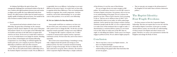In Galatians Paul follows the spirit of Jesus who courageously challenged the conventional wisdom of his day. It was a wisdom with rigid boundaries between men and women in religion and in public life. Jesus deliberately broke those barriers. He called women to follow him; he treated women as equally capable of dealing with sacred issues. Our model for the role of women in matters of faith is the Lord Jesus.

#### *6. Church.*

An ecumenical and inclusive attitude is basic to our fellowship. The great ideas of theology are the common property of all the church. Baptists are only a part of that great and inclusive Church. So, we are eager to have fellowship with our brothers and sisters in the faith and to recognize their work for our Savior. We do not try to make them conform to us; we try to include them in our design for mission. Mending the torn fabric of both Baptist and Christian fellowship is important to us. God willing, we will bind together the broken parts into a new company in preview of the great fellowship we shall have with each other in heaven.

It should be apparent that the points of difference are critical. They are the stuff around which a fellowship such as the Southern Baptist Convention is made. We are different. It

is regrettable, but we are different. And perhaps we are most different at the point of spirit. At no place have we been able to negotiate about these differences. Were our fundamentalist brethren to negotiate, they would compromise. And that would be a sin by their understandings. So, we can either come to their position, or we can form a new fellowship.

#### **III. We Are Called to Do More than Politic.**

Some people would have us continue as we have over the last twelve years, and continue to work with the SBC with a point of view to change the SBC. On the face of it this argument sounds reasonable. Acting it out is more difficult.

To change the SBC requires a majority vote. To effect a majority in annual session requires massive, expensive, contentious activity. We have done this, and we have done it repeatedly.

But we have never enjoyed doing it. Something is wrong with a religious body that spends such energy in overt political activity. Our time is unwisely invested in beating people or trying to beat people. We have to define the other side as bad and we are good. There is division. The existence of the Cooperative Baptist Fellowship is a simple confession

of that division; it is not the cause of that division.

We can no longer devote our major energies to SBC politics. We would rejoice, however, to see the SBC return to its historic Baptist convictions. Our primary call is to be true to our understanding of the gospel. We are to advance the gospel in our time. When we get to heaven, God is not going to ask us, "Did you win in Atlanta in June of 1991?" If we understand the orders we are under, we will be asked larger questions. And to spend our time trying to reclaim a human institution (people made the SBC; it is not a scriptural entity) is to make more of that institution that we ought to make. A denomination is a missions delivery system; it is not meant to be an idol. When we make more of the SBC than we ought, we risk falling into idolatry. Twelve years is too long to engage in political activity. We are called to higher purposes.

## **Conclusion**

- That we may have a voice in our Baptist mission ... for that is our Baptist birthright ...
- That we may work by ideas consistent with our understanding of the gospel rather than fund ideas that are not our gospel ...

• That we may give our energies to the advancement of the Kingdom of God rather than in divisive, destructive politics ...

# The Baptist Identity: Four Fragile Freedoms

For these reasons we form the Cooperative Baptist Fellowship. This does not require that we sever ties with the old Southern Baptist Convention. It does give us another mission delivery system, one more like our understanding of what it means to be Baptist and what it means to do gospel. Therefore, we create a new instrument to further the Kingdom and enlarge the Body of Christ.